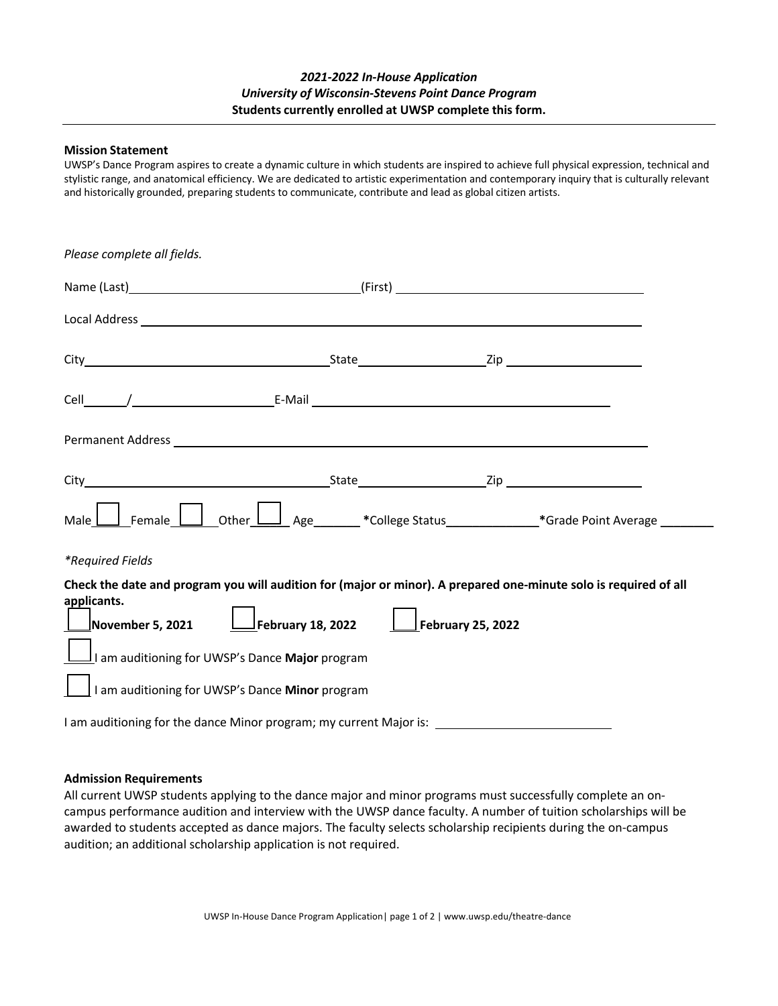## *2021-2022 In-House Application University of Wisconsin-Stevens Point Dance Program* **Students currently enrolled at UWSP complete this form.**

## **Mission Statement**

UWSP's Dance Program aspires to create a dynamic culture in which students are inspired to achieve full physical expression, technical and stylistic range, and anatomical efficiency. We are dedicated to artistic experimentation and contemporary inquiry that is culturally relevant and historically grounded, preparing students to communicate, contribute and lead as global citizen artists.

| Please complete all fields.                                                                                                                                                                                                    |                                                                                                                  |  |
|--------------------------------------------------------------------------------------------------------------------------------------------------------------------------------------------------------------------------------|------------------------------------------------------------------------------------------------------------------|--|
|                                                                                                                                                                                                                                |                                                                                                                  |  |
| Local Address experience and the contract of the contract of the contract of the contract of the contract of the contract of the contract of the contract of the contract of the contract of the contract of the contract of t |                                                                                                                  |  |
|                                                                                                                                                                                                                                |                                                                                                                  |  |
|                                                                                                                                                                                                                                |                                                                                                                  |  |
|                                                                                                                                                                                                                                |                                                                                                                  |  |
|                                                                                                                                                                                                                                |                                                                                                                  |  |
| Male .                                                                                                                                                                                                                         |                                                                                                                  |  |
| *Required Fields                                                                                                                                                                                                               |                                                                                                                  |  |
| applicants.<br>November 5, 2021 $\Box$ February 18, 2022 $\Box$ February 25, 2022<br>am auditioning for UWSP's Dance Major program<br>I am auditioning for UWSP's Dance Minor program                                          | Check the date and program you will audition for (major or minor). A prepared one-minute solo is required of all |  |
|                                                                                                                                                                                                                                |                                                                                                                  |  |

## **Admission Requirements**

All current UWSP students applying to the dance major and minor programs must successfully complete an oncampus performance audition and interview with the UWSP dance faculty. A number of tuition scholarships will be awarded to students accepted as dance majors. The faculty selects scholarship recipients during the on-campus audition; an additional scholarship application is not required.